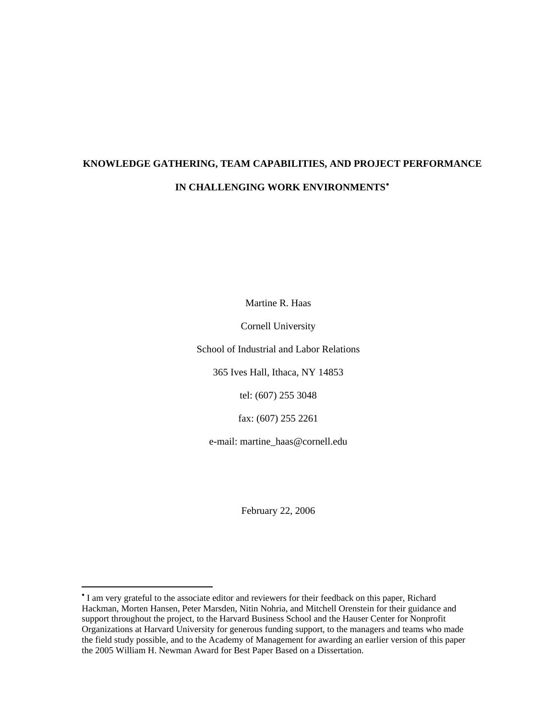# **KNOWLEDGE GATHERING, TEAM CAPABILITIES, AND PROJECT PERFORMANCE IN CHALLENGING WORK ENVIRONMENTS**[•](#page-0-0)

Martine R. Haas

Cornell University

School of Industrial and Labor Relations

365 Ives Hall, Ithaca, NY 14853

tel: (607) 255 3048

fax: (607) 255 2261

e-mail: martine\_haas@cornell.edu

February 22, 2006

 $\overline{a}$ 

<span id="page-0-0"></span><sup>•</sup> I am very grateful to the associate editor and reviewers for their feedback on this paper, Richard Hackman, Morten Hansen, Peter Marsden, Nitin Nohria, and Mitchell Orenstein for their guidance and support throughout the project, to the Harvard Business School and the Hauser Center for Nonprofit Organizations at Harvard University for generous funding support, to the managers and teams who made the field study possible, and to the Academy of Management for awarding an earlier version of this paper the 2005 William H. Newman Award for Best Paper Based on a Dissertation.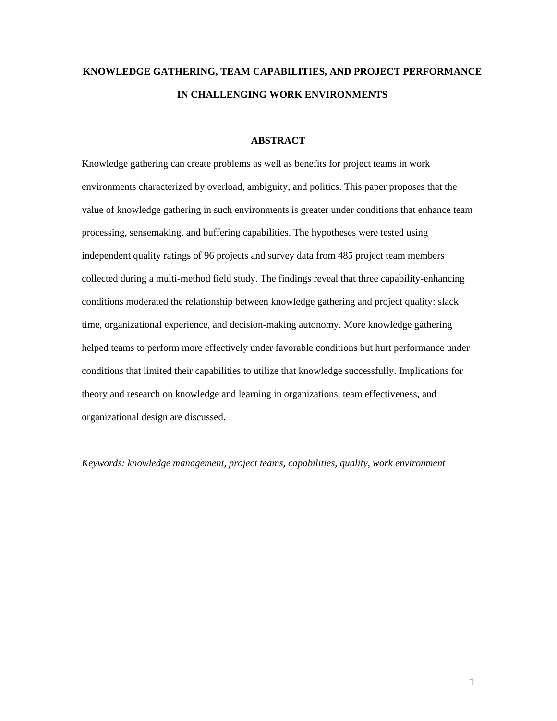# **KNOWLEDGE GATHERING, TEAM CAPABILITIES, AND PROJECT PERFORMANCE IN CHALLENGING WORK ENVIRONMENTS**

#### **ABSTRACT**

Knowledge gathering can create problems as well as benefits for project teams in work environments characterized by overload, ambiguity, and politics. This paper proposes that the value of knowledge gathering in such environments is greater under conditions that enhance team processing, sensemaking, and buffering capabilities. The hypotheses were tested using independent quality ratings of 96 projects and survey data from 485 project team members collected during a multi-method field study. The findings reveal that three capability-enhancing conditions moderated the relationship between knowledge gathering and project quality: slack time, organizational experience, and decision-making autonomy. More knowledge gathering helped teams to perform more effectively under favorable conditions but hurt performance under conditions that limited their capabilities to utilize that knowledge successfully. Implications for theory and research on knowledge and learning in organizations, team effectiveness, and organizational design are discussed.

*Keywords: knowledge management, project teams, capabilities, quality, work environment*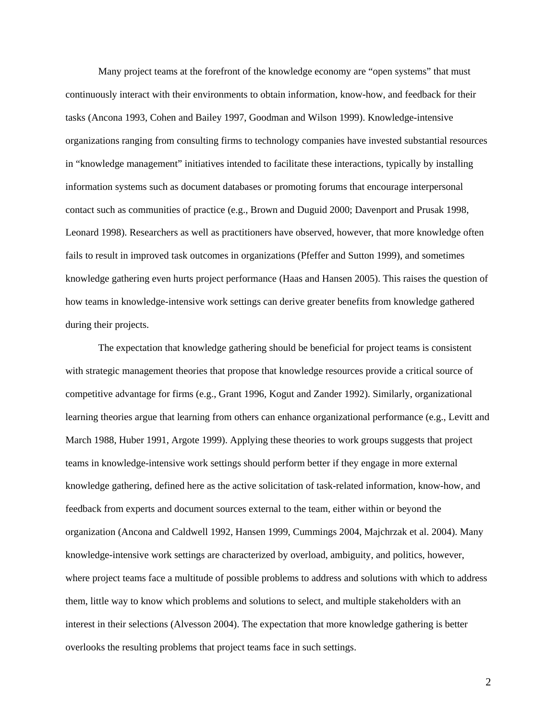Many project teams at the forefront of the knowledge economy are "open systems" that must continuously interact with their environments to obtain information, know-how, and feedback for their tasks (Ancona 1993, Cohen and Bailey 1997, Goodman and Wilson 1999). Knowledge-intensive organizations ranging from consulting firms to technology companies have invested substantial resources in "knowledge management" initiatives intended to facilitate these interactions, typically by installing information systems such as document databases or promoting forums that encourage interpersonal contact such as communities of practice (e.g., Brown and Duguid 2000; Davenport and Prusak 1998, Leonard 1998). Researchers as well as practitioners have observed, however, that more knowledge often fails to result in improved task outcomes in organizations (Pfeffer and Sutton 1999), and sometimes knowledge gathering even hurts project performance (Haas and Hansen 2005). This raises the question of how teams in knowledge-intensive work settings can derive greater benefits from knowledge gathered during their projects.

The expectation that knowledge gathering should be beneficial for project teams is consistent with strategic management theories that propose that knowledge resources provide a critical source of competitive advantage for firms (e.g., Grant 1996, Kogut and Zander 1992). Similarly, organizational learning theories argue that learning from others can enhance organizational performance (e.g., Levitt and March 1988, Huber 1991, Argote 1999). Applying these theories to work groups suggests that project teams in knowledge-intensive work settings should perform better if they engage in more external knowledge gathering, defined here as the active solicitation of task-related information, know-how, and feedback from experts and document sources external to the team, either within or beyond the organization (Ancona and Caldwell 1992, Hansen 1999, Cummings 2004, Majchrzak et al. 2004). Many knowledge-intensive work settings are characterized by overload, ambiguity, and politics, however, where project teams face a multitude of possible problems to address and solutions with which to address them, little way to know which problems and solutions to select, and multiple stakeholders with an interest in their selections (Alvesson 2004). The expectation that more knowledge gathering is better overlooks the resulting problems that project teams face in such settings.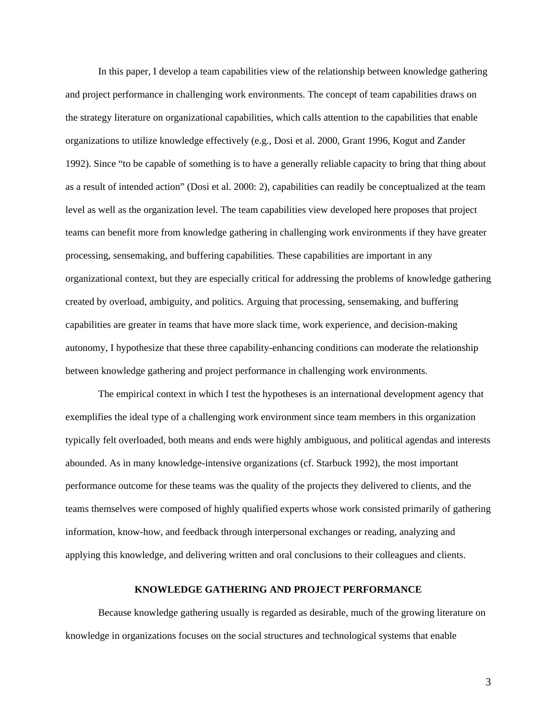In this paper, I develop a team capabilities view of the relationship between knowledge gathering and project performance in challenging work environments. The concept of team capabilities draws on the strategy literature on organizational capabilities, which calls attention to the capabilities that enable organizations to utilize knowledge effectively (e.g., Dosi et al. 2000, Grant 1996, Kogut and Zander 1992). Since "to be capable of something is to have a generally reliable capacity to bring that thing about as a result of intended action" (Dosi et al. 2000: 2), capabilities can readily be conceptualized at the team level as well as the organization level. The team capabilities view developed here proposes that project teams can benefit more from knowledge gathering in challenging work environments if they have greater processing, sensemaking, and buffering capabilities. These capabilities are important in any organizational context, but they are especially critical for addressing the problems of knowledge gathering created by overload, ambiguity, and politics. Arguing that processing, sensemaking, and buffering capabilities are greater in teams that have more slack time, work experience, and decision-making autonomy, I hypothesize that these three capability-enhancing conditions can moderate the relationship between knowledge gathering and project performance in challenging work environments.

The empirical context in which I test the hypotheses is an international development agency that exemplifies the ideal type of a challenging work environment since team members in this organization typically felt overloaded, both means and ends were highly ambiguous, and political agendas and interests abounded. As in many knowledge-intensive organizations (cf. Starbuck 1992), the most important performance outcome for these teams was the quality of the projects they delivered to clients, and the teams themselves were composed of highly qualified experts whose work consisted primarily of gathering information, know-how, and feedback through interpersonal exchanges or reading, analyzing and applying this knowledge, and delivering written and oral conclusions to their colleagues and clients.

#### **KNOWLEDGE GATHERING AND PROJECT PERFORMANCE**

Because knowledge gathering usually is regarded as desirable, much of the growing literature on knowledge in organizations focuses on the social structures and technological systems that enable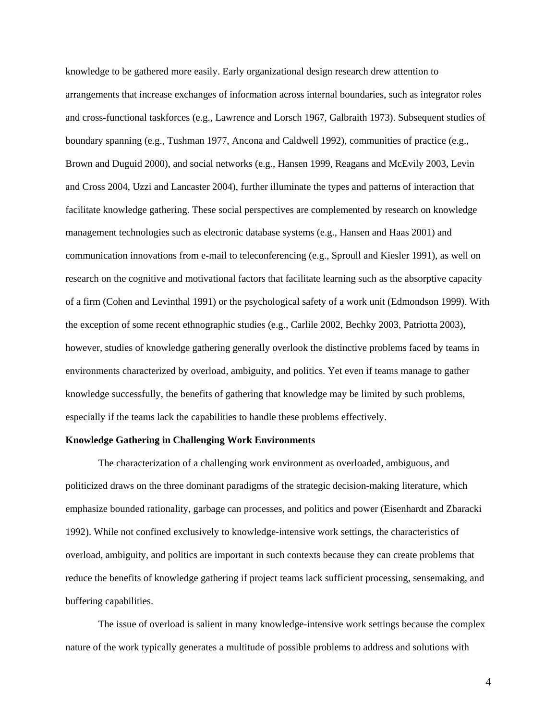knowledge to be gathered more easily. Early organizational design research drew attention to arrangements that increase exchanges of information across internal boundaries, such as integrator roles and cross-functional taskforces (e.g., Lawrence and Lorsch 1967, Galbraith 1973). Subsequent studies of boundary spanning (e.g., Tushman 1977, Ancona and Caldwell 1992), communities of practice (e.g., Brown and Duguid 2000), and social networks (e.g., Hansen 1999, Reagans and McEvily 2003, Levin and Cross 2004, Uzzi and Lancaster 2004), further illuminate the types and patterns of interaction that facilitate knowledge gathering. These social perspectives are complemented by research on knowledge management technologies such as electronic database systems (e.g., Hansen and Haas 2001) and communication innovations from e-mail to teleconferencing (e.g., Sproull and Kiesler 1991), as well on research on the cognitive and motivational factors that facilitate learning such as the absorptive capacity of a firm (Cohen and Levinthal 1991) or the psychological safety of a work unit (Edmondson 1999). With the exception of some recent ethnographic studies (e.g., Carlile 2002, Bechky 2003, Patriotta 2003), however, studies of knowledge gathering generally overlook the distinctive problems faced by teams in environments characterized by overload, ambiguity, and politics. Yet even if teams manage to gather knowledge successfully, the benefits of gathering that knowledge may be limited by such problems, especially if the teams lack the capabilities to handle these problems effectively.

#### **Knowledge Gathering in Challenging Work Environments**

The characterization of a challenging work environment as overloaded, ambiguous, and politicized draws on the three dominant paradigms of the strategic decision-making literature, which emphasize bounded rationality, garbage can processes, and politics and power (Eisenhardt and Zbaracki 1992). While not confined exclusively to knowledge-intensive work settings, the characteristics of overload, ambiguity, and politics are important in such contexts because they can create problems that reduce the benefits of knowledge gathering if project teams lack sufficient processing, sensemaking, and buffering capabilities.

The issue of overload is salient in many knowledge-intensive work settings because the complex nature of the work typically generates a multitude of possible problems to address and solutions with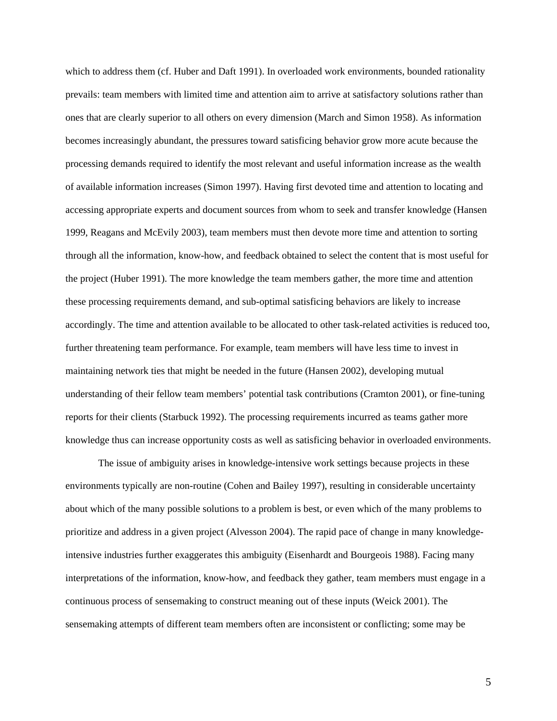which to address them (cf. Huber and Daft 1991). In overloaded work environments, bounded rationality prevails: team members with limited time and attention aim to arrive at satisfactory solutions rather than ones that are clearly superior to all others on every dimension (March and Simon 1958). As information becomes increasingly abundant, the pressures toward satisficing behavior grow more acute because the processing demands required to identify the most relevant and useful information increase as the wealth of available information increases (Simon 1997). Having first devoted time and attention to locating and accessing appropriate experts and document sources from whom to seek and transfer knowledge (Hansen 1999, Reagans and McEvily 2003), team members must then devote more time and attention to sorting through all the information, know-how, and feedback obtained to select the content that is most useful for the project (Huber 1991). The more knowledge the team members gather, the more time and attention these processing requirements demand, and sub-optimal satisficing behaviors are likely to increase accordingly. The time and attention available to be allocated to other task-related activities is reduced too, further threatening team performance. For example, team members will have less time to invest in maintaining network ties that might be needed in the future (Hansen 2002), developing mutual understanding of their fellow team members' potential task contributions (Cramton 2001), or fine-tuning reports for their clients (Starbuck 1992). The processing requirements incurred as teams gather more knowledge thus can increase opportunity costs as well as satisficing behavior in overloaded environments.

The issue of ambiguity arises in knowledge-intensive work settings because projects in these environments typically are non-routine (Cohen and Bailey 1997), resulting in considerable uncertainty about which of the many possible solutions to a problem is best, or even which of the many problems to prioritize and address in a given project (Alvesson 2004). The rapid pace of change in many knowledgeintensive industries further exaggerates this ambiguity (Eisenhardt and Bourgeois 1988). Facing many interpretations of the information, know-how, and feedback they gather, team members must engage in a continuous process of sensemaking to construct meaning out of these inputs (Weick 2001). The sensemaking attempts of different team members often are inconsistent or conflicting; some may be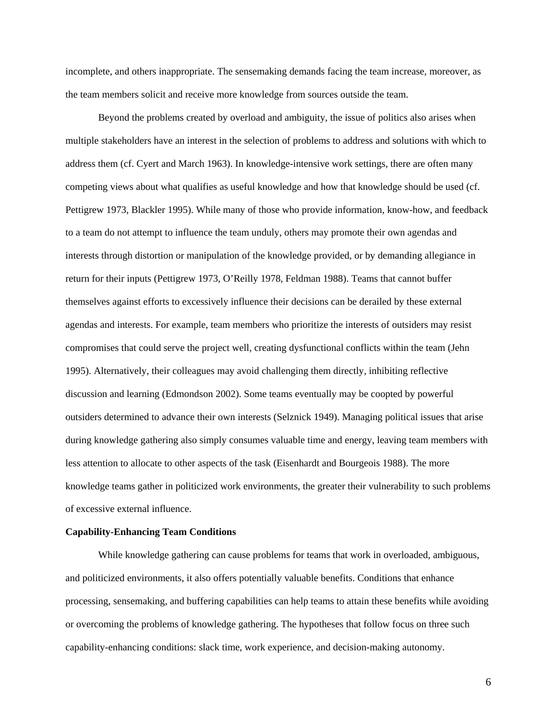incomplete, and others inappropriate. The sensemaking demands facing the team increase, moreover, as the team members solicit and receive more knowledge from sources outside the team.

Beyond the problems created by overload and ambiguity, the issue of politics also arises when multiple stakeholders have an interest in the selection of problems to address and solutions with which to address them (cf. Cyert and March 1963). In knowledge-intensive work settings, there are often many competing views about what qualifies as useful knowledge and how that knowledge should be used (cf. Pettigrew 1973, Blackler 1995). While many of those who provide information, know-how, and feedback to a team do not attempt to influence the team unduly, others may promote their own agendas and interests through distortion or manipulation of the knowledge provided, or by demanding allegiance in return for their inputs (Pettigrew 1973, O'Reilly 1978, Feldman 1988). Teams that cannot buffer themselves against efforts to excessively influence their decisions can be derailed by these external agendas and interests. For example, team members who prioritize the interests of outsiders may resist compromises that could serve the project well, creating dysfunctional conflicts within the team (Jehn 1995). Alternatively, their colleagues may avoid challenging them directly, inhibiting reflective discussion and learning (Edmondson 2002). Some teams eventually may be coopted by powerful outsiders determined to advance their own interests (Selznick 1949). Managing political issues that arise during knowledge gathering also simply consumes valuable time and energy, leaving team members with less attention to allocate to other aspects of the task (Eisenhardt and Bourgeois 1988). The more knowledge teams gather in politicized work environments, the greater their vulnerability to such problems of excessive external influence.

#### **Capability-Enhancing Team Conditions**

 While knowledge gathering can cause problems for teams that work in overloaded, ambiguous, and politicized environments, it also offers potentially valuable benefits. Conditions that enhance processing, sensemaking, and buffering capabilities can help teams to attain these benefits while avoiding or overcoming the problems of knowledge gathering. The hypotheses that follow focus on three such capability-enhancing conditions: slack time, work experience, and decision-making autonomy.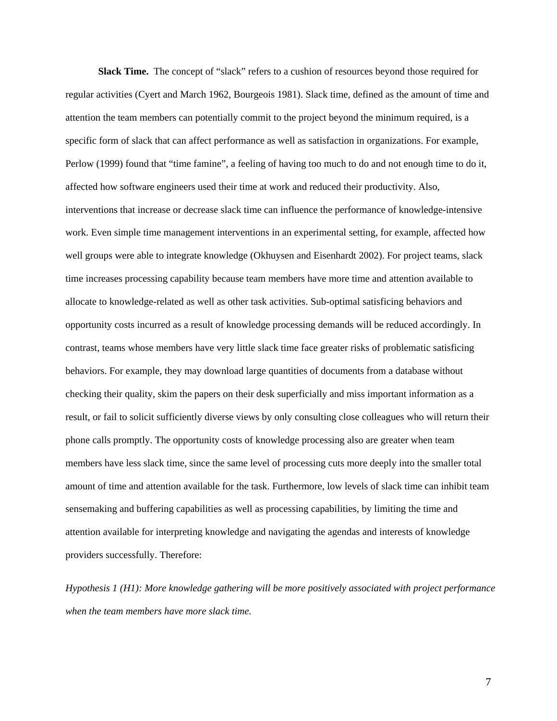**Slack Time.** The concept of "slack" refers to a cushion of resources beyond those required for regular activities (Cyert and March 1962, Bourgeois 1981). Slack time, defined as the amount of time and attention the team members can potentially commit to the project beyond the minimum required, is a specific form of slack that can affect performance as well as satisfaction in organizations. For example, Perlow (1999) found that "time famine", a feeling of having too much to do and not enough time to do it, affected how software engineers used their time at work and reduced their productivity. Also, interventions that increase or decrease slack time can influence the performance of knowledge-intensive work. Even simple time management interventions in an experimental setting, for example, affected how well groups were able to integrate knowledge (Okhuysen and Eisenhardt 2002). For project teams, slack time increases processing capability because team members have more time and attention available to allocate to knowledge-related as well as other task activities. Sub-optimal satisficing behaviors and opportunity costs incurred as a result of knowledge processing demands will be reduced accordingly. In contrast, teams whose members have very little slack time face greater risks of problematic satisficing behaviors. For example, they may download large quantities of documents from a database without checking their quality, skim the papers on their desk superficially and miss important information as a result, or fail to solicit sufficiently diverse views by only consulting close colleagues who will return their phone calls promptly. The opportunity costs of knowledge processing also are greater when team members have less slack time, since the same level of processing cuts more deeply into the smaller total amount of time and attention available for the task. Furthermore, low levels of slack time can inhibit team sensemaking and buffering capabilities as well as processing capabilities, by limiting the time and attention available for interpreting knowledge and navigating the agendas and interests of knowledge providers successfully. Therefore:

*Hypothesis 1 (H1): More knowledge gathering will be more positively associated with project performance when the team members have more slack time.*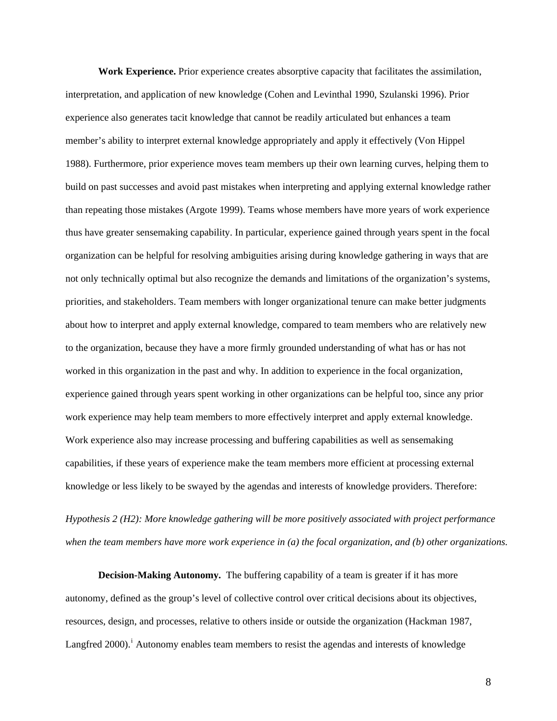**Work Experience.** Prior experience creates absorptive capacity that facilitates the assimilation, interpretation, and application of new knowledge (Cohen and Levinthal 1990, Szulanski 1996). Prior experience also generates tacit knowledge that cannot be readily articulated but enhances a team member's ability to interpret external knowledge appropriately and apply it effectively (Von Hippel 1988). Furthermore, prior experience moves team members up their own learning curves, helping them to build on past successes and avoid past mistakes when interpreting and applying external knowledge rather than repeating those mistakes (Argote 1999). Teams whose members have more years of work experience thus have greater sensemaking capability. In particular, experience gained through years spent in the focal organization can be helpful for resolving ambiguities arising during knowledge gathering in ways that are not only technically optimal but also recognize the demands and limitations of the organization's systems, priorities, and stakeholders. Team members with longer organizational tenure can make better judgments about how to interpret and apply external knowledge, compared to team members who are relatively new to the organization, because they have a more firmly grounded understanding of what has or has not worked in this organization in the past and why. In addition to experience in the focal organization, experience gained through years spent working in other organizations can be helpful too, since any prior work experience may help team members to more effectively interpret and apply external knowledge. Work experience also may increase processing and buffering capabilities as well as sensemaking capabilities, if these years of experience make the team members more efficient at processing external knowledge or less likely to be swayed by the agendas and interests of knowledge providers. Therefore:

*Hypothesis 2 (H2): More knowledge gathering will be more positively associated with project performance when the team members have more work experience in (a) the focal organization, and (b) other organizations.* 

**Decision-Making Autonomy.** The buffering capability of a team is greater if it has more autonomy, defined as the group's level of collective control over critical decisions about its objectives, resources, design, and processes, relative to others inside or outside the organization (Hackman 1987, Langfred 2000).<sup>1</sup> Autonomy enables team members to res[i](#page-32-0)st the agendas and interests of knowledge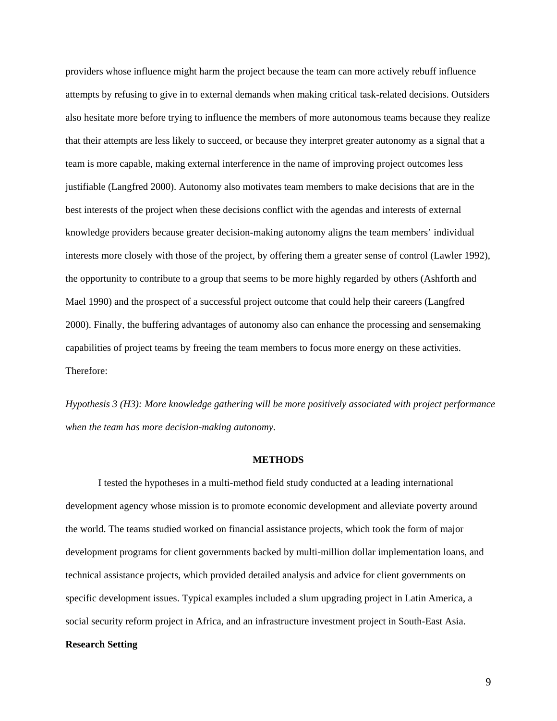providers whose influence might harm the project because the team can more actively rebuff influence attempts by refusing to give in to external demands when making critical task-related decisions. Outsiders also hesitate more before trying to influence the members of more autonomous teams because they realize that their attempts are less likely to succeed, or because they interpret greater autonomy as a signal that a team is more capable, making external interference in the name of improving project outcomes less justifiable (Langfred 2000). Autonomy also motivates team members to make decisions that are in the best interests of the project when these decisions conflict with the agendas and interests of external knowledge providers because greater decision-making autonomy aligns the team members' individual interests more closely with those of the project, by offering them a greater sense of control (Lawler 1992), the opportunity to contribute to a group that seems to be more highly regarded by others (Ashforth and Mael 1990) and the prospect of a successful project outcome that could help their careers (Langfred 2000). Finally, the buffering advantages of autonomy also can enhance the processing and sensemaking capabilities of project teams by freeing the team members to focus more energy on these activities. Therefore:

*Hypothesis 3 (H3): More knowledge gathering will be more positively associated with project performance when the team has more decision-making autonomy.* 

#### **METHODS**

I tested the hypotheses in a multi-method field study conducted at a leading international development agency whose mission is to promote economic development and alleviate poverty around the world. The teams studied worked on financial assistance projects, which took the form of major development programs for client governments backed by multi-million dollar implementation loans, and technical assistance projects, which provided detailed analysis and advice for client governments on specific development issues. Typical examples included a slum upgrading project in Latin America, a social security reform project in Africa, and an infrastructure investment project in South-East Asia.

#### **Research Setting**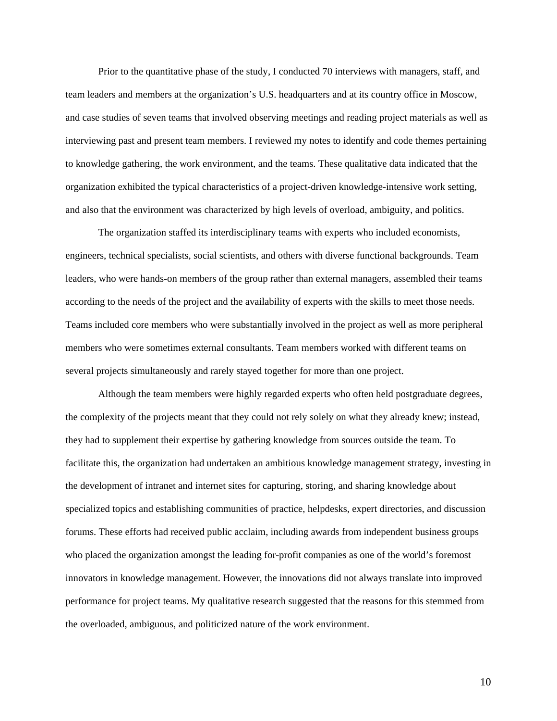Prior to the quantitative phase of the study, I conducted 70 interviews with managers, staff, and team leaders and members at the organization's U.S. headquarters and at its country office in Moscow, and case studies of seven teams that involved observing meetings and reading project materials as well as interviewing past and present team members. I reviewed my notes to identify and code themes pertaining to knowledge gathering, the work environment, and the teams. These qualitative data indicated that the organization exhibited the typical characteristics of a project-driven knowledge-intensive work setting, and also that the environment was characterized by high levels of overload, ambiguity, and politics.

The organization staffed its interdisciplinary teams with experts who included economists, engineers, technical specialists, social scientists, and others with diverse functional backgrounds. Team leaders, who were hands-on members of the group rather than external managers, assembled their teams according to the needs of the project and the availability of experts with the skills to meet those needs. Teams included core members who were substantially involved in the project as well as more peripheral members who were sometimes external consultants. Team members worked with different teams on several projects simultaneously and rarely stayed together for more than one project.

Although the team members were highly regarded experts who often held postgraduate degrees, the complexity of the projects meant that they could not rely solely on what they already knew; instead, they had to supplement their expertise by gathering knowledge from sources outside the team. To facilitate this, the organization had undertaken an ambitious knowledge management strategy, investing in the development of intranet and internet sites for capturing, storing, and sharing knowledge about specialized topics and establishing communities of practice, helpdesks, expert directories, and discussion forums. These efforts had received public acclaim, including awards from independent business groups who placed the organization amongst the leading for-profit companies as one of the world's foremost innovators in knowledge management. However, the innovations did not always translate into improved performance for project teams. My qualitative research suggested that the reasons for this stemmed from the overloaded, ambiguous, and politicized nature of the work environment.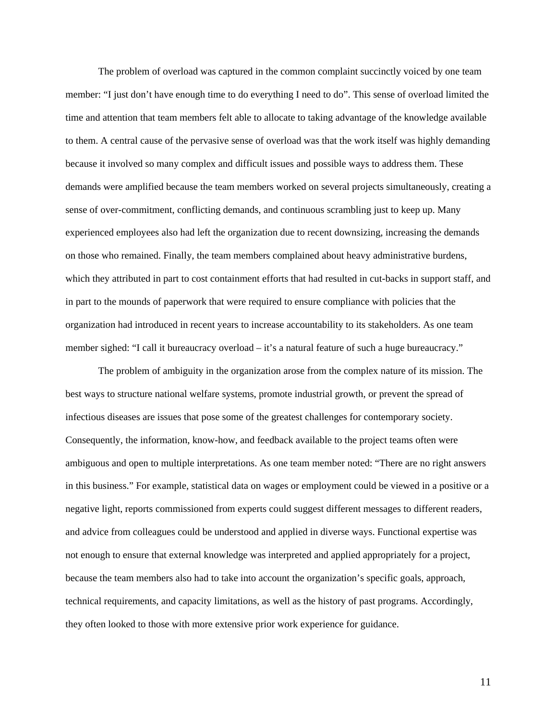The problem of overload was captured in the common complaint succinctly voiced by one team member: "I just don't have enough time to do everything I need to do". This sense of overload limited the time and attention that team members felt able to allocate to taking advantage of the knowledge available to them. A central cause of the pervasive sense of overload was that the work itself was highly demanding because it involved so many complex and difficult issues and possible ways to address them. These demands were amplified because the team members worked on several projects simultaneously, creating a sense of over-commitment, conflicting demands, and continuous scrambling just to keep up. Many experienced employees also had left the organization due to recent downsizing, increasing the demands on those who remained. Finally, the team members complained about heavy administrative burdens, which they attributed in part to cost containment efforts that had resulted in cut-backs in support staff, and in part to the mounds of paperwork that were required to ensure compliance with policies that the organization had introduced in recent years to increase accountability to its stakeholders. As one team member sighed: "I call it bureaucracy overload – it's a natural feature of such a huge bureaucracy."

The problem of ambiguity in the organization arose from the complex nature of its mission. The best ways to structure national welfare systems, promote industrial growth, or prevent the spread of infectious diseases are issues that pose some of the greatest challenges for contemporary society. Consequently, the information, know-how, and feedback available to the project teams often were ambiguous and open to multiple interpretations. As one team member noted: "There are no right answers in this business." For example, statistical data on wages or employment could be viewed in a positive or a negative light, reports commissioned from experts could suggest different messages to different readers, and advice from colleagues could be understood and applied in diverse ways. Functional expertise was not enough to ensure that external knowledge was interpreted and applied appropriately for a project, because the team members also had to take into account the organization's specific goals, approach, technical requirements, and capacity limitations, as well as the history of past programs. Accordingly, they often looked to those with more extensive prior work experience for guidance.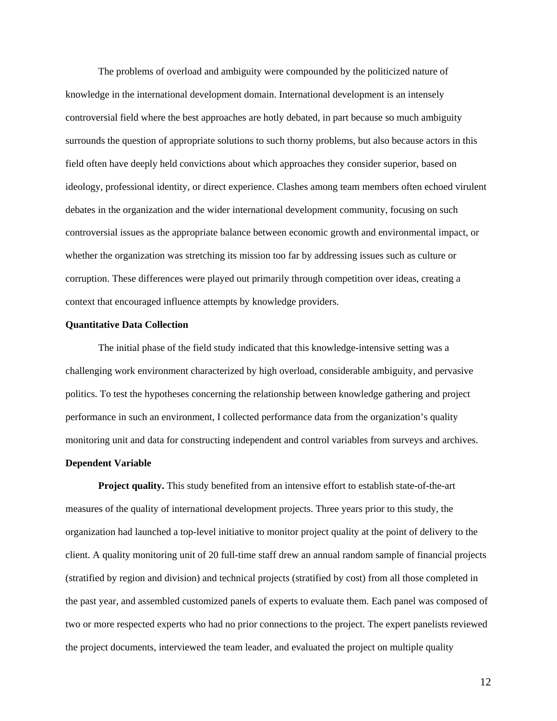The problems of overload and ambiguity were compounded by the politicized nature of knowledge in the international development domain. International development is an intensely controversial field where the best approaches are hotly debated, in part because so much ambiguity surrounds the question of appropriate solutions to such thorny problems, but also because actors in this field often have deeply held convictions about which approaches they consider superior, based on ideology, professional identity, or direct experience. Clashes among team members often echoed virulent debates in the organization and the wider international development community, focusing on such controversial issues as the appropriate balance between economic growth and environmental impact, or whether the organization was stretching its mission too far by addressing issues such as culture or corruption. These differences were played out primarily through competition over ideas, creating a context that encouraged influence attempts by knowledge providers.

#### **Quantitative Data Collection**

The initial phase of the field study indicated that this knowledge-intensive setting was a challenging work environment characterized by high overload, considerable ambiguity, and pervasive politics. To test the hypotheses concerning the relationship between knowledge gathering and project performance in such an environment, I collected performance data from the organization's quality monitoring unit and data for constructing independent and control variables from surveys and archives.

### **Dependent Variable**

**Project quality.** This study benefited from an intensive effort to establish state-of-the-art measures of the quality of international development projects. Three years prior to this study, the organization had launched a top-level initiative to monitor project quality at the point of delivery to the client. A quality monitoring unit of 20 full-time staff drew an annual random sample of financial projects (stratified by region and division) and technical projects (stratified by cost) from all those completed in the past year, and assembled customized panels of experts to evaluate them. Each panel was composed of two or more respected experts who had no prior connections to the project. The expert panelists reviewed the project documents, interviewed the team leader, and evaluated the project on multiple quality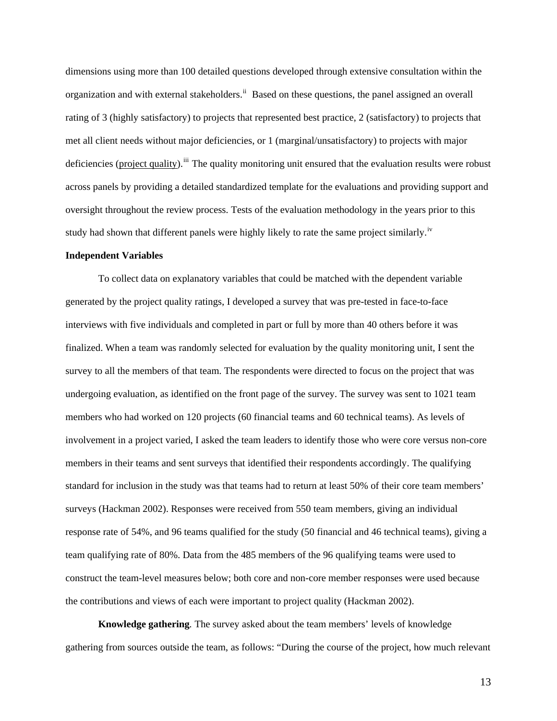dimensions using more than 100 detailed questions developed through extensive consultation within the organization and with external stakeholders.<sup>[ii](#page-32-1)</sup> Based on these questions, the panel assigned an overall rating of 3 (highly satisfactory) to projects that represented best practice, 2 (satisfactory) to projects that met all client needs without major deficiencies, or 1 (marginal/unsatisfactory) to projects with major deficiencies (project quality).<sup>[iii](#page-32-1)</sup> The quality monitoring unit ensured that the evaluation results were robust across panels by providing a detailed standardized template for the evaluations and providing support and oversight throughout the review process. Tests of the evaluation methodology in the years prior to this study had shown that different panels were highly likely to rate the same project similarly.<sup>[iv](#page-32-1)</sup>

# **Independent Variables**

To collect data on explanatory variables that could be matched with the dependent variable generated by the project quality ratings, I developed a survey that was pre-tested in face-to-face interviews with five individuals and completed in part or full by more than 40 others before it was finalized. When a team was randomly selected for evaluation by the quality monitoring unit, I sent the survey to all the members of that team. The respondents were directed to focus on the project that was undergoing evaluation, as identified on the front page of the survey. The survey was sent to 1021 team members who had worked on 120 projects (60 financial teams and 60 technical teams). As levels of involvement in a project varied, I asked the team leaders to identify those who were core versus non-core members in their teams and sent surveys that identified their respondents accordingly. The qualifying standard for inclusion in the study was that teams had to return at least 50% of their core team members' surveys (Hackman 2002). Responses were received from 550 team members, giving an individual response rate of 54%, and 96 teams qualified for the study (50 financial and 46 technical teams), giving a team qualifying rate of 80%. Data from the 485 members of the 96 qualifying teams were used to construct the team-level measures below; both core and non-core member responses were used because the contributions and views of each were important to project quality (Hackman 2002).

**Knowledge gathering***.* The survey asked about the team members' levels of knowledge gathering from sources outside the team, as follows: "During the course of the project, how much relevant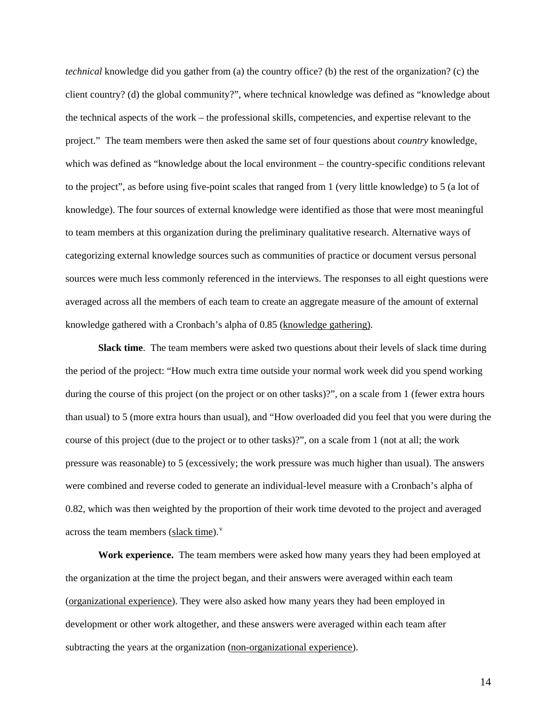*technical* knowledge did you gather from (a) the country office? (b) the rest of the organization? (c) the client country? (d) the global community?", where technical knowledge was defined as "knowledge about the technical aspects of the work – the professional skills, competencies, and expertise relevant to the project." The team members were then asked the same set of four questions about *country* knowledge, which was defined as "knowledge about the local environment – the country-specific conditions relevant to the project", as before using five-point scales that ranged from 1 (very little knowledge) to 5 (a lot of knowledge). The four sources of external knowledge were identified as those that were most meaningful to team members at this organization during the preliminary qualitative research. Alternative ways of categorizing external knowledge sources such as communities of practice or document versus personal sources were much less commonly referenced in the interviews. The responses to all eight questions were averaged across all the members of each team to create an aggregate measure of the amount of external knowledge gathered with a Cronbach's alpha of 0.85 (knowledge gathering).

**Slack time**. The team members were asked two questions about their levels of slack time during the period of the project: "How much extra time outside your normal work week did you spend working during the course of this project (on the project or on other tasks)?", on a scale from 1 (fewer extra hours than usual) to 5 (more extra hours than usual), and "How overloaded did you feel that you were during the course of this project (due to the project or to other tasks)?", on a scale from 1 (not at all; the work pressure was reasonable) to 5 (excessively; the work pressure was much higher than usual). The answers were combined and reverse coded to generate an individual-level measure with a Cronbach's alpha of 0.82, which was then weighted by the proportion of their work time devoted to the project and averaged across the team members (slack time). $v$ 

**Work experience.** The team members were asked how many years they had been employed at the organization at the time the project began, and their answers were averaged within each team (organizational experience). They were also asked how many years they had been employed in development or other work altogether, and these answers were averaged within each team after subtracting the years at the organization (non-organizational experience).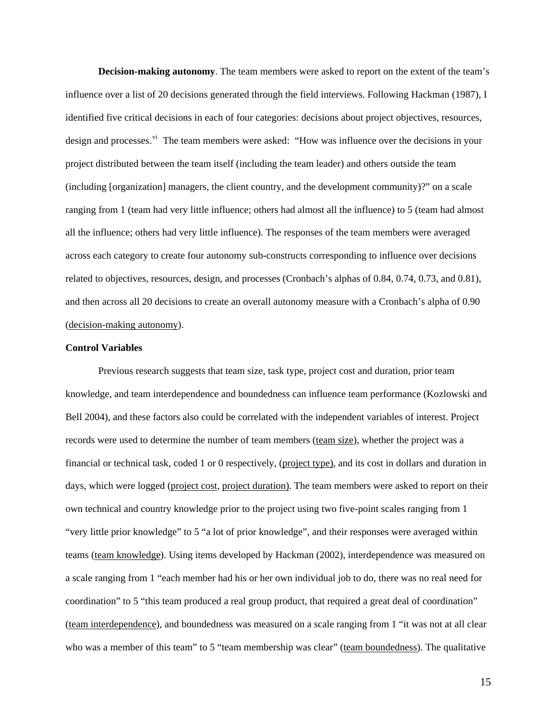**Decision-making autonomy**. The team members were asked to report on the extent of the team's influence over a list of 20 decisions generated through the field interviews. Following Hackman (1987), I identified five critical decisions in each of four categories: decisions about project objectives, resources, design and processes.<sup>[vi](#page-32-1)</sup> The team members were asked: "How was influence over the decisions in your project distributed between the team itself (including the team leader) and others outside the team (including [organization] managers, the client country, and the development community)?" on a scale ranging from 1 (team had very little influence; others had almost all the influence) to 5 (team had almost all the influence; others had very little influence). The responses of the team members were averaged across each category to create four autonomy sub-constructs corresponding to influence over decisions related to objectives, resources, design, and processes (Cronbach's alphas of 0.84, 0.74, 0.73, and 0.81), and then across all 20 decisions to create an overall autonomy measure with a Cronbach's alpha of 0.90 (decision-making autonomy).

#### **Control Variables**

Previous research suggests that team size, task type, project cost and duration, prior team knowledge, and team interdependence and boundedness can influence team performance (Kozlowski and Bell 2004), and these factors also could be correlated with the independent variables of interest. Project records were used to determine the number of team members (team size), whether the project was a financial or technical task, coded 1 or 0 respectively, (project type), and its cost in dollars and duration in days, which were logged (project cost, project duration). The team members were asked to report on their own technical and country knowledge prior to the project using two five-point scales ranging from 1 "very little prior knowledge" to 5 "a lot of prior knowledge", and their responses were averaged within teams (team knowledge). Using items developed by Hackman (2002), interdependence was measured on a scale ranging from 1 "each member had his or her own individual job to do, there was no real need for coordination" to 5 "this team produced a real group product, that required a great deal of coordination" (team interdependence), and boundedness was measured on a scale ranging from 1 "it was not at all clear who was a member of this team" to 5 "team membership was clear" (team boundedness). The qualitative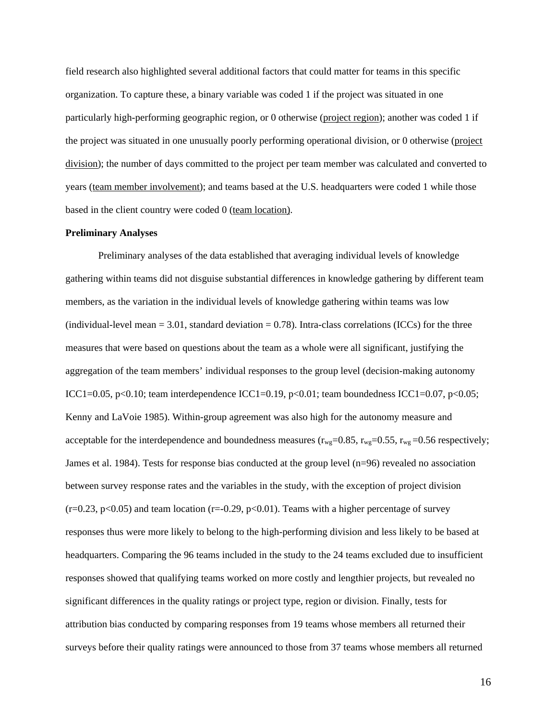field research also highlighted several additional factors that could matter for teams in this specific organization. To capture these, a binary variable was coded 1 if the project was situated in one particularly high-performing geographic region, or 0 otherwise (project region); another was coded 1 if the project was situated in one unusually poorly performing operational division, or 0 otherwise (project division); the number of days committed to the project per team member was calculated and converted to years (team member involvement); and teams based at the U.S. headquarters were coded 1 while those based in the client country were coded 0 (team location).

#### **Preliminary Analyses**

Preliminary analyses of the data established that averaging individual levels of knowledge gathering within teams did not disguise substantial differences in knowledge gathering by different team members, as the variation in the individual levels of knowledge gathering within teams was low (individual-level mean  $= 3.01$ , standard deviation  $= 0.78$ ). Intra-class correlations (ICCs) for the three measures that were based on questions about the team as a whole were all significant, justifying the aggregation of the team members' individual responses to the group level (decision-making autonomy ICC1=0.05, p<0.10; team interdependence ICC1=0.19, p<0.01; team boundedness ICC1=0.07, p<0.05; Kenny and LaVoie 1985). Within-group agreement was also high for the autonomy measure and acceptable for the interdependence and boundedness measures ( $r_{wg}=0.85$ ,  $r_{wg}=0.55$ ,  $r_{wg}=0.56$  respectively; James et al. 1984). Tests for response bias conducted at the group level (n=96) revealed no association between survey response rates and the variables in the study, with the exception of project division  $(r=0.23, p<0.05)$  and team location  $(r=-0.29, p<0.01)$ . Teams with a higher percentage of survey responses thus were more likely to belong to the high-performing division and less likely to be based at headquarters. Comparing the 96 teams included in the study to the 24 teams excluded due to insufficient responses showed that qualifying teams worked on more costly and lengthier projects, but revealed no significant differences in the quality ratings or project type, region or division. Finally, tests for attribution bias conducted by comparing responses from 19 teams whose members all returned their surveys before their quality ratings were announced to those from 37 teams whose members all returned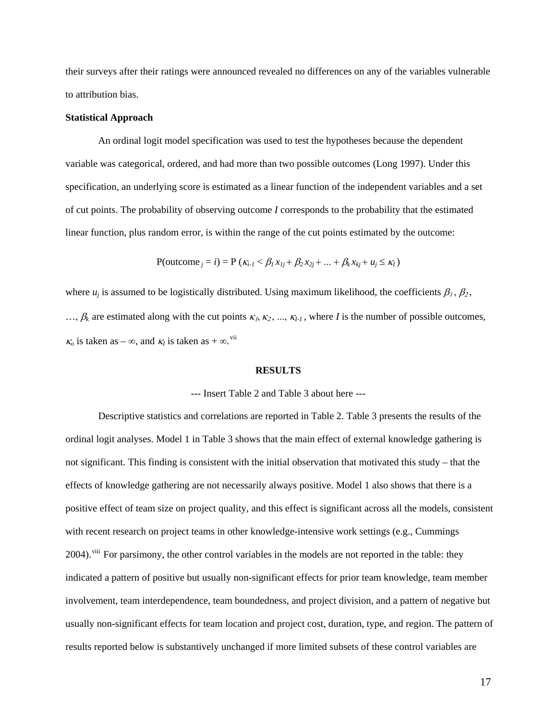their surveys after their ratings were announced revealed no differences on any of the variables vulnerable to attribution bias.

#### **Statistical Approach**

An ordinal logit model specification was used to test the hypotheses because the dependent variable was categorical, ordered, and had more than two possible outcomes (Long 1997). Under this specification, an underlying score is estimated as a linear function of the independent variables and a set of cut points. The probability of observing outcome *I* corresponds to the probability that the estimated linear function, plus random error, is within the range of the cut points estimated by the outcome:

$$
P(\text{outcome}_j = i) = P(\kappa_{i-1} < \beta_1 x_{1j} + \beta_2 x_{2j} + \dots + \beta_k x_{kj} + u_j \le \kappa_l)
$$

where  $u_i$  is assumed to be logistically distributed. Using maximum likelihood, the coefficients  $\beta_1$ ,  $\beta_2$ ,  $\ldots$ ,  $\beta_k$  are estimated along with the cut points  $\kappa_1, \kappa_2, \ldots, \kappa_{L}$ , where *I* is the number of possible outcomes,  $\kappa_o$  is taken as –  $\infty$ , and  $\kappa_l$  is taken as +  $\infty$ .<sup>[vii](#page-32-1)</sup>

#### **RESULTS**

--- Insert Table 2 and Table 3 about here ---

Descriptive statistics and correlations are reported in Table 2. Table 3 presents the results of the ordinal logit analyses. Model 1 in Table 3 shows that the main effect of external knowledge gathering is not significant. This finding is consistent with the initial observation that motivated this study – that the effects of knowledge gathering are not necessarily always positive. Model 1 also shows that there is a positive effect of team size on project quality, and this effect is significant across all the models, consistent with recent research on project teams in other knowledge-intensive work settings (e.g., Cummings 2004).<sup>[viii](#page-32-1)</sup> For parsimony, the other control variables in the models are not reported in the table: they indicated a pattern of positive but usually non-significant effects for prior team knowledge, team member involvement, team interdependence, team boundedness, and project division, and a pattern of negative but usually non-significant effects for team location and project cost, duration, type, and region. The pattern of results reported below is substantively unchanged if more limited subsets of these control variables are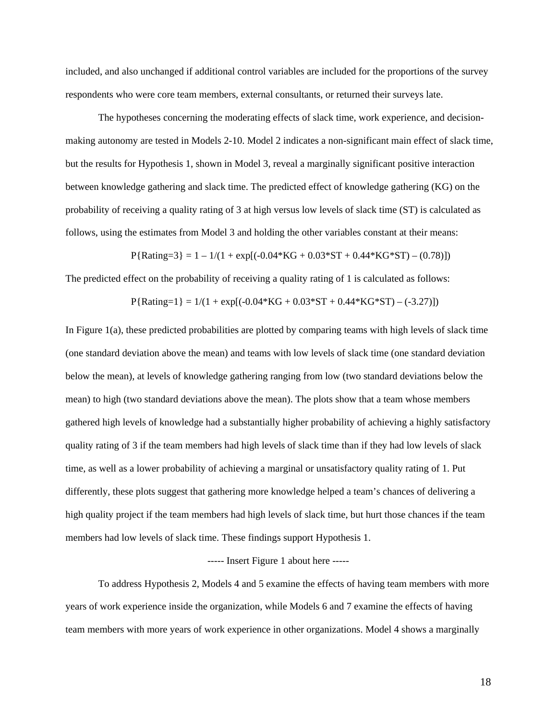included, and also unchanged if additional control variables are included for the proportions of the survey respondents who were core team members, external consultants, or returned their surveys late.

The hypotheses concerning the moderating effects of slack time, work experience, and decisionmaking autonomy are tested in Models 2-10. Model 2 indicates a non-significant main effect of slack time, but the results for Hypothesis 1, shown in Model 3, reveal a marginally significant positive interaction between knowledge gathering and slack time. The predicted effect of knowledge gathering (KG) on the probability of receiving a quality rating of 3 at high versus low levels of slack time (ST) is calculated as follows, using the estimates from Model 3 and holding the other variables constant at their means:

$$
P\{\text{Rating=3}\} = 1 - \frac{1}{(1 + \exp[(-0.04 * KG + 0.03 * ST + 0.44 * KG * ST) - (0.78)])}
$$

The predicted effect on the probability of receiving a quality rating of 1 is calculated as follows:

$$
P\{\text{Rating=1}\} = 1/(1 + \exp[(-0.04 * KG + 0.03 * ST + 0.44 * KG * ST) - (-3.27)])
$$

In Figure 1(a), these predicted probabilities are plotted by comparing teams with high levels of slack time (one standard deviation above the mean) and teams with low levels of slack time (one standard deviation below the mean), at levels of knowledge gathering ranging from low (two standard deviations below the mean) to high (two standard deviations above the mean). The plots show that a team whose members gathered high levels of knowledge had a substantially higher probability of achieving a highly satisfactory quality rating of 3 if the team members had high levels of slack time than if they had low levels of slack time, as well as a lower probability of achieving a marginal or unsatisfactory quality rating of 1. Put differently, these plots suggest that gathering more knowledge helped a team's chances of delivering a high quality project if the team members had high levels of slack time, but hurt those chances if the team members had low levels of slack time. These findings support Hypothesis 1.

#### ----- Insert Figure 1 about here -----

 To address Hypothesis 2, Models 4 and 5 examine the effects of having team members with more years of work experience inside the organization, while Models 6 and 7 examine the effects of having team members with more years of work experience in other organizations. Model 4 shows a marginally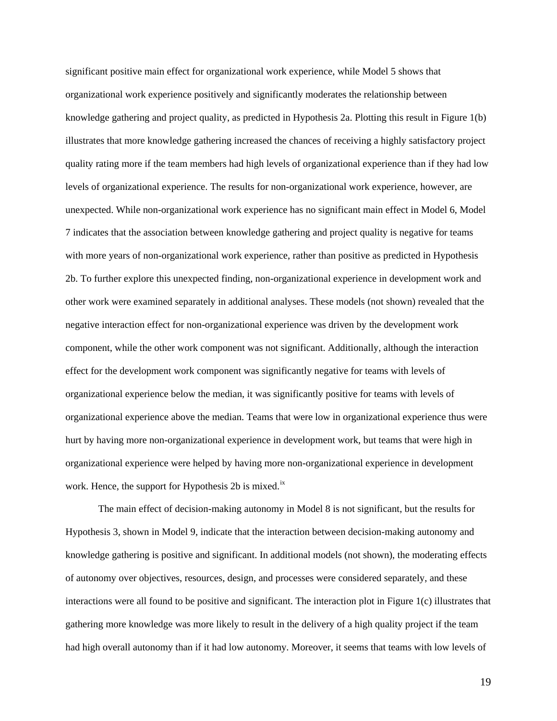significant positive main effect for organizational work experience, while Model 5 shows that organizational work experience positively and significantly moderates the relationship between knowledge gathering and project quality, as predicted in Hypothesis 2a. Plotting this result in Figure 1(b) illustrates that more knowledge gathering increased the chances of receiving a highly satisfactory project quality rating more if the team members had high levels of organizational experience than if they had low levels of organizational experience. The results for non-organizational work experience, however, are unexpected. While non-organizational work experience has no significant main effect in Model 6, Model 7 indicates that the association between knowledge gathering and project quality is negative for teams with more years of non-organizational work experience, rather than positive as predicted in Hypothesis 2b. To further explore this unexpected finding, non-organizational experience in development work and other work were examined separately in additional analyses. These models (not shown) revealed that the negative interaction effect for non-organizational experience was driven by the development work component, while the other work component was not significant. Additionally, although the interaction effect for the development work component was significantly negative for teams with levels of organizational experience below the median, it was significantly positive for teams with levels of organizational experience above the median. Teams that were low in organizational experience thus were hurt by having more non-organizational experience in development work, but teams that were high in organizational experience were helped by having more non-organizational experience in development work. Hence, the support for Hypothesis 2b is m[ix](#page-32-1)ed.<sup>ix</sup>

 The main effect of decision-making autonomy in Model 8 is not significant, but the results for Hypothesis 3, shown in Model 9, indicate that the interaction between decision-making autonomy and knowledge gathering is positive and significant. In additional models (not shown), the moderating effects of autonomy over objectives, resources, design, and processes were considered separately, and these interactions were all found to be positive and significant. The interaction plot in Figure 1(c) illustrates that gathering more knowledge was more likely to result in the delivery of a high quality project if the team had high overall autonomy than if it had low autonomy. Moreover, it seems that teams with low levels of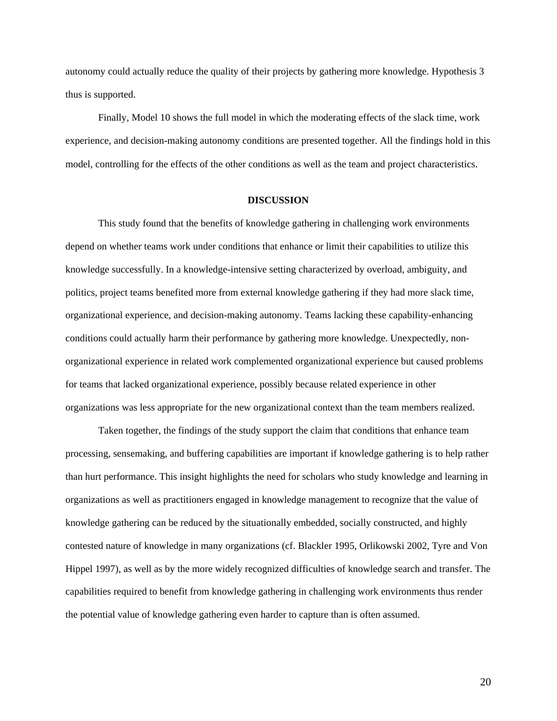autonomy could actually reduce the quality of their projects by gathering more knowledge. Hypothesis 3 thus is supported.

 Finally, Model 10 shows the full model in which the moderating effects of the slack time, work experience, and decision-making autonomy conditions are presented together. All the findings hold in this model, controlling for the effects of the other conditions as well as the team and project characteristics.

#### **DISCUSSION**

This study found that the benefits of knowledge gathering in challenging work environments depend on whether teams work under conditions that enhance or limit their capabilities to utilize this knowledge successfully. In a knowledge-intensive setting characterized by overload, ambiguity, and politics, project teams benefited more from external knowledge gathering if they had more slack time, organizational experience, and decision-making autonomy. Teams lacking these capability-enhancing conditions could actually harm their performance by gathering more knowledge. Unexpectedly, nonorganizational experience in related work complemented organizational experience but caused problems for teams that lacked organizational experience, possibly because related experience in other organizations was less appropriate for the new organizational context than the team members realized.

Taken together, the findings of the study support the claim that conditions that enhance team processing, sensemaking, and buffering capabilities are important if knowledge gathering is to help rather than hurt performance. This insight highlights the need for scholars who study knowledge and learning in organizations as well as practitioners engaged in knowledge management to recognize that the value of knowledge gathering can be reduced by the situationally embedded, socially constructed, and highly contested nature of knowledge in many organizations (cf. Blackler 1995, Orlikowski 2002, Tyre and Von Hippel 1997), as well as by the more widely recognized difficulties of knowledge search and transfer. The capabilities required to benefit from knowledge gathering in challenging work environments thus render the potential value of knowledge gathering even harder to capture than is often assumed.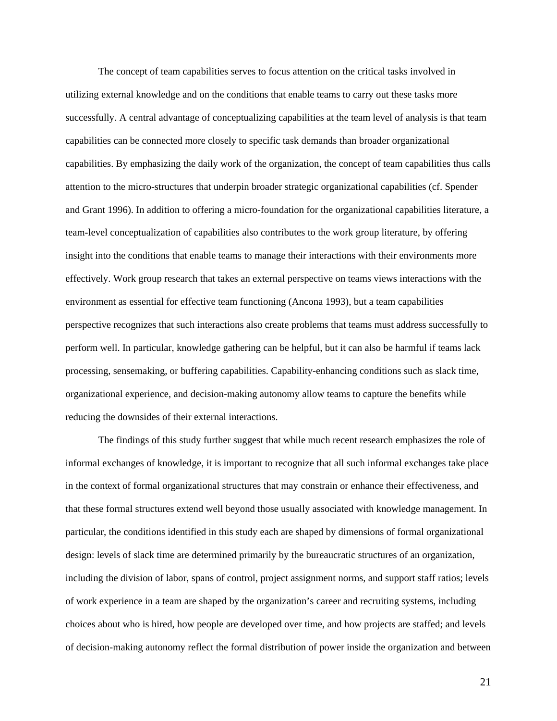The concept of team capabilities serves to focus attention on the critical tasks involved in utilizing external knowledge and on the conditions that enable teams to carry out these tasks more successfully. A central advantage of conceptualizing capabilities at the team level of analysis is that team capabilities can be connected more closely to specific task demands than broader organizational capabilities. By emphasizing the daily work of the organization, the concept of team capabilities thus calls attention to the micro-structures that underpin broader strategic organizational capabilities (cf. Spender and Grant 1996). In addition to offering a micro-foundation for the organizational capabilities literature, a team-level conceptualization of capabilities also contributes to the work group literature, by offering insight into the conditions that enable teams to manage their interactions with their environments more effectively. Work group research that takes an external perspective on teams views interactions with the environment as essential for effective team functioning (Ancona 1993), but a team capabilities perspective recognizes that such interactions also create problems that teams must address successfully to perform well. In particular, knowledge gathering can be helpful, but it can also be harmful if teams lack processing, sensemaking, or buffering capabilities. Capability-enhancing conditions such as slack time, organizational experience, and decision-making autonomy allow teams to capture the benefits while reducing the downsides of their external interactions.

The findings of this study further suggest that while much recent research emphasizes the role of informal exchanges of knowledge, it is important to recognize that all such informal exchanges take place in the context of formal organizational structures that may constrain or enhance their effectiveness, and that these formal structures extend well beyond those usually associated with knowledge management. In particular, the conditions identified in this study each are shaped by dimensions of formal organizational design: levels of slack time are determined primarily by the bureaucratic structures of an organization, including the division of labor, spans of control, project assignment norms, and support staff ratios; levels of work experience in a team are shaped by the organization's career and recruiting systems, including choices about who is hired, how people are developed over time, and how projects are staffed; and levels of decision-making autonomy reflect the formal distribution of power inside the organization and between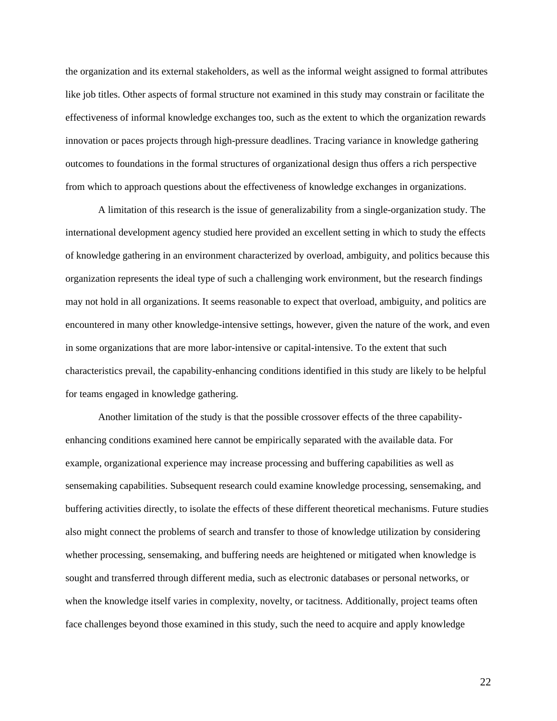the organization and its external stakeholders, as well as the informal weight assigned to formal attributes like job titles. Other aspects of formal structure not examined in this study may constrain or facilitate the effectiveness of informal knowledge exchanges too, such as the extent to which the organization rewards innovation or paces projects through high-pressure deadlines. Tracing variance in knowledge gathering outcomes to foundations in the formal structures of organizational design thus offers a rich perspective from which to approach questions about the effectiveness of knowledge exchanges in organizations.

A limitation of this research is the issue of generalizability from a single-organization study. The international development agency studied here provided an excellent setting in which to study the effects of knowledge gathering in an environment characterized by overload, ambiguity, and politics because this organization represents the ideal type of such a challenging work environment, but the research findings may not hold in all organizations. It seems reasonable to expect that overload, ambiguity, and politics are encountered in many other knowledge-intensive settings, however, given the nature of the work, and even in some organizations that are more labor-intensive or capital-intensive. To the extent that such characteristics prevail, the capability-enhancing conditions identified in this study are likely to be helpful for teams engaged in knowledge gathering.

Another limitation of the study is that the possible crossover effects of the three capabilityenhancing conditions examined here cannot be empirically separated with the available data. For example, organizational experience may increase processing and buffering capabilities as well as sensemaking capabilities. Subsequent research could examine knowledge processing, sensemaking, and buffering activities directly, to isolate the effects of these different theoretical mechanisms. Future studies also might connect the problems of search and transfer to those of knowledge utilization by considering whether processing, sensemaking, and buffering needs are heightened or mitigated when knowledge is sought and transferred through different media, such as electronic databases or personal networks, or when the knowledge itself varies in complexity, novelty, or tacitness. Additionally, project teams often face challenges beyond those examined in this study, such the need to acquire and apply knowledge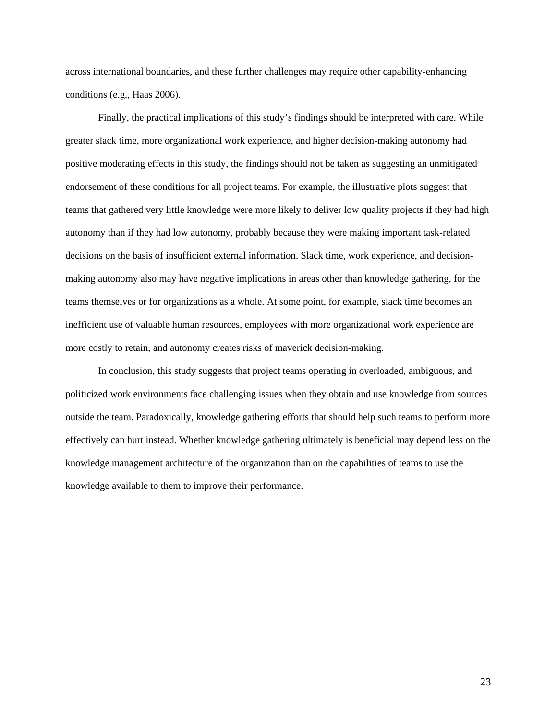across international boundaries, and these further challenges may require other capability-enhancing conditions (e.g., Haas 2006).

Finally, the practical implications of this study's findings should be interpreted with care. While greater slack time, more organizational work experience, and higher decision-making autonomy had positive moderating effects in this study, the findings should not be taken as suggesting an unmitigated endorsement of these conditions for all project teams. For example, the illustrative plots suggest that teams that gathered very little knowledge were more likely to deliver low quality projects if they had high autonomy than if they had low autonomy, probably because they were making important task-related decisions on the basis of insufficient external information. Slack time, work experience, and decisionmaking autonomy also may have negative implications in areas other than knowledge gathering, for the teams themselves or for organizations as a whole. At some point, for example, slack time becomes an inefficient use of valuable human resources, employees with more organizational work experience are more costly to retain, and autonomy creates risks of maverick decision-making.

In conclusion, this study suggests that project teams operating in overloaded, ambiguous, and politicized work environments face challenging issues when they obtain and use knowledge from sources outside the team. Paradoxically, knowledge gathering efforts that should help such teams to perform more effectively can hurt instead. Whether knowledge gathering ultimately is beneficial may depend less on the knowledge management architecture of the organization than on the capabilities of teams to use the knowledge available to them to improve their performance.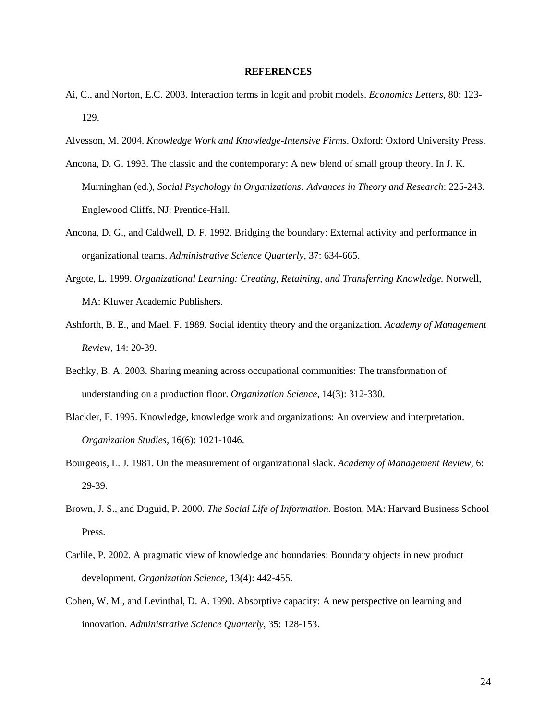#### **REFERENCES**

- Ai, C., and Norton, E.C. 2003. Interaction terms in logit and probit models. *Economics Letters*, 80: 123- 129.
- Alvesson, M. 2004. *Knowledge Work and Knowledge-Intensive Firms*. Oxford: Oxford University Press.
- Ancona, D. G. 1993. The classic and the contemporary: A new blend of small group theory. In J. K. Murninghan (ed.), *Social Psychology in Organizations: Advances in Theory and Research*: 225-243. Englewood Cliffs, NJ: Prentice-Hall.
- Ancona, D. G., and Caldwell, D. F. 1992. Bridging the boundary: External activity and performance in organizational teams. *Administrative Science Quarterly*, 37: 634-665.
- Argote, L. 1999. *Organizational Learning: Creating, Retaining, and Transferring Knowledge.* Norwell, MA: Kluwer Academic Publishers.
- Ashforth, B. E., and Mael, F. 1989. Social identity theory and the organization. *Academy of Management Review,* 14: 20-39.
- Bechky, B. A. 2003. Sharing meaning across occupational communities: The transformation of understanding on a production floor. *Organization Science,* 14(3): 312-330.
- Blackler, F. 1995. Knowledge, knowledge work and organizations: An overview and interpretation. *Organization Studies,* 16(6): 1021-1046.
- Bourgeois, L. J. 1981. On the measurement of organizational slack. *Academy of Management Review,* 6: 29-39.
- Brown, J. S., and Duguid, P. 2000. *The Social Life of Information*. Boston, MA: Harvard Business School Press.
- Carlile, P. 2002. A pragmatic view of knowledge and boundaries: Boundary objects in new product development. *Organization Science,* 13(4): 442-455.
- Cohen, W. M., and Levinthal, D. A. 1990. Absorptive capacity: A new perspective on learning and innovation. *Administrative Science Quarterly*, 35: 128-153.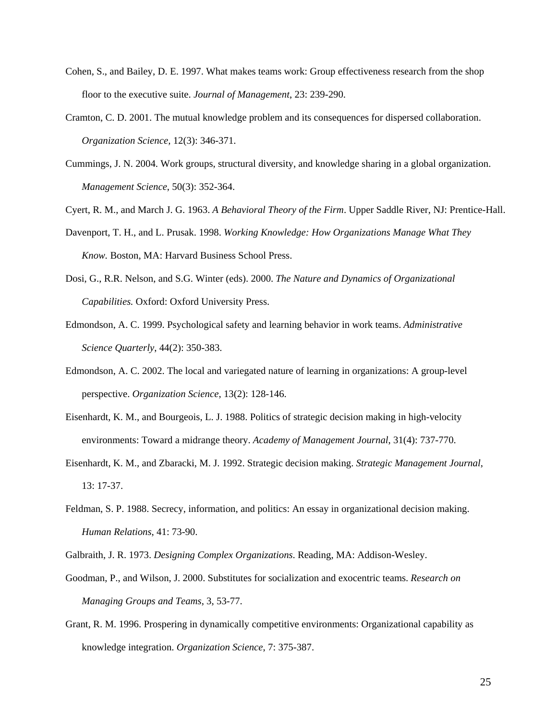- Cohen, S., and Bailey, D. E. 1997. What makes teams work: Group effectiveness research from the shop floor to the executive suite. *Journal of Management*, 23: 239-290.
- Cramton, C. D. 2001. The mutual knowledge problem and its consequences for dispersed collaboration. *Organization Science,* 12(3): 346-371.
- Cummings, J. N. 2004. Work groups, structural diversity, and knowledge sharing in a global organization. *Management Science*, 50(3): 352-364.
- Cyert, R. M., and March J. G. 1963. *A Behavioral Theory of the Firm*. Upper Saddle River, NJ: Prentice-Hall.
- Davenport, T. H., and L. Prusak. 1998. *Working Knowledge: How Organizations Manage What They Know.* Boston, MA: Harvard Business School Press.
- Dosi, G., R.R. Nelson, and S.G. Winter (eds). 2000. *The Nature and Dynamics of Organizational Capabilities.* Oxford: Oxford University Press.
- Edmondson, A. C. 1999. Psychological safety and learning behavior in work teams. *Administrative Science Quarterly*, 44(2): 350-383.
- Edmondson, A. C. 2002. The local and variegated nature of learning in organizations: A group-level perspective. *Organization Science*, 13(2): 128-146.
- Eisenhardt, K. M., and Bourgeois, L. J. 1988. Politics of strategic decision making in high-velocity environments: Toward a midrange theory. *Academy of Management Journal*, 31(4): 737-770.
- Eisenhardt, K. M., and Zbaracki, M. J. 1992. Strategic decision making. *Strategic Management Journal*, 13: 17-37.
- Feldman, S. P. 1988. Secrecy, information, and politics: An essay in organizational decision making. *Human Relations*, 41: 73-90.
- Galbraith, J. R. 1973. *Designing Complex Organizations*. Reading, MA: Addison-Wesley.
- Goodman, P., and Wilson, J. 2000. Substitutes for socialization and exocentric teams. *Research on Managing Groups and Teams*, 3, 53-77.
- Grant, R. M. 1996. Prospering in dynamically competitive environments: Organizational capability as knowledge integration. *Organization Science*, 7: 375-387.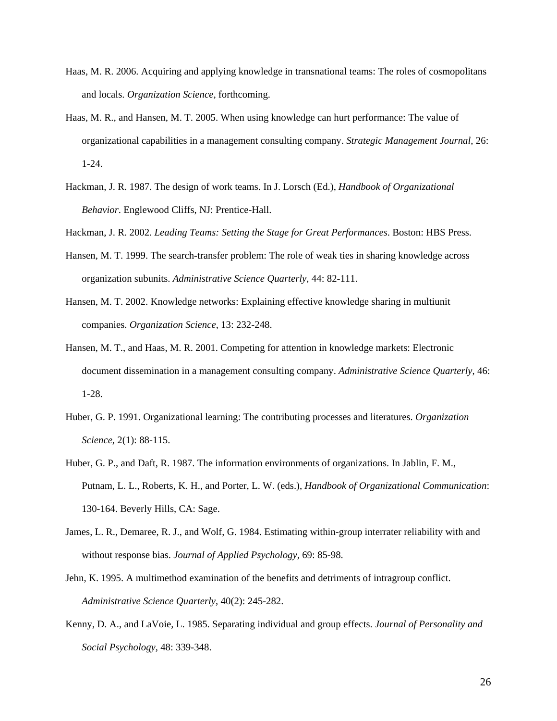- Haas, M. R. 2006. Acquiring and applying knowledge in transnational teams: The roles of cosmopolitans and locals. *Organization Science*, forthcoming.
- Haas, M. R., and Hansen, M. T. 2005. When using knowledge can hurt performance: The value of organizational capabilities in a management consulting company. *Strategic Management Journal*, 26: 1-24.
- Hackman, J. R. 1987. The design of work teams. In J. Lorsch (Ed.), *Handbook of Organizational Behavior*. Englewood Cliffs, NJ: Prentice-Hall.

Hackman, J. R. 2002. *Leading Teams: Setting the Stage for Great Performances*. Boston: HBS Press.

- Hansen, M. T. 1999. The search-transfer problem: The role of weak ties in sharing knowledge across organization subunits. *Administrative Science Quarterly*, 44: 82-111.
- Hansen, M. T. 2002. Knowledge networks: Explaining effective knowledge sharing in multiunit companies. *Organization Science*, 13: 232-248.
- Hansen, M. T., and Haas, M. R. 2001. Competing for attention in knowledge markets: Electronic document dissemination in a management consulting company. *Administrative Science Quarterly*, 46: 1-28.
- Huber, G. P. 1991. Organizational learning: The contributing processes and literatures. *Organization Science*, 2(1): 88-115.
- Huber, G. P., and Daft, R. 1987. The information environments of organizations. In Jablin, F. M., Putnam, L. L., Roberts, K. H., and Porter, L. W. (eds.), *Handbook of Organizational Communication*: 130-164. Beverly Hills, CA: Sage.
- James, L. R., Demaree, R. J., and Wolf, G. 1984. Estimating within-group interrater reliability with and without response bias. *Journal of Applied Psychology,* 69: 85-98.
- Jehn, K. 1995. A multimethod examination of the benefits and detriments of intragroup conflict. *Administrative Science Quarterly*, 40(2): 245-282.
- Kenny, D. A., and LaVoie, L. 1985. Separating individual and group effects. *Journal of Personality and Social Psychology*, 48: 339-348.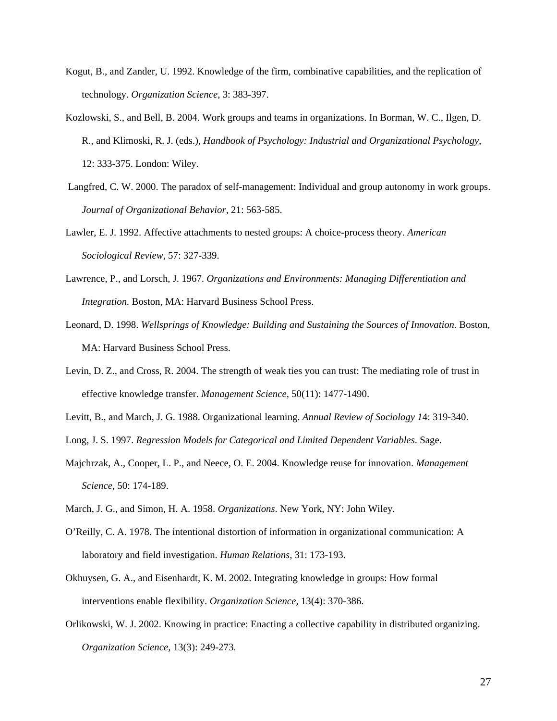- Kogut, B., and Zander, U. 1992. Knowledge of the firm, combinative capabilities, and the replication of technology. *Organization Science*, 3: 383-397.
- Kozlowski, S., and Bell, B. 2004. Work groups and teams in organizations. In Borman, W. C., Ilgen, D. R., and Klimoski, R. J. (eds.), *Handbook of Psychology: Industrial and Organizational Psychology*, 12: 333-375. London: Wiley.
- Langfred, C. W. 2000. The paradox of self-management: Individual and group autonomy in work groups. *Journal of Organizational Behavior*, 21: 563-585.
- Lawler, E. J. 1992. Affective attachments to nested groups: A choice-process theory. *American Sociological Review*, 57: 327-339.
- Lawrence, P., and Lorsch, J. 1967. *Organizations and Environments: Managing Differentiation and Integration.* Boston, MA: Harvard Business School Press.
- Leonard, D. 1998. *Wellsprings of Knowledge: Building and Sustaining the Sources of Innovation*. Boston, MA: Harvard Business School Press.
- Levin, D. Z., and Cross, R. 2004. The strength of weak ties you can trust: The mediating role of trust in effective knowledge transfer. *Management Science,* 50(11): 1477-1490.
- Levitt, B., and March, J. G. 1988. Organizational learning. *Annual Review of Sociology 1*4: 319-340.

Long, J. S. 1997. *Regression Models for Categorical and Limited Dependent Variables*. Sage.

- Majchrzak, A., Cooper, L. P., and Neece, O. E. 2004. Knowledge reuse for innovation. *Management Science*, 50: 174-189.
- March, J. G., and Simon, H. A. 1958. *Organizations*. New York, NY: John Wiley.
- O'Reilly, C. A. 1978. The intentional distortion of information in organizational communication: A laboratory and field investigation. *Human Relations,* 31: 173-193.
- Okhuysen, G. A., and Eisenhardt, K. M. 2002. Integrating knowledge in groups: How formal interventions enable flexibility. *Organization Science,* 13(4): 370-386.
- Orlikowski, W. J. 2002. Knowing in practice: Enacting a collective capability in distributed organizing. *Organization Science,* 13(3): 249-273.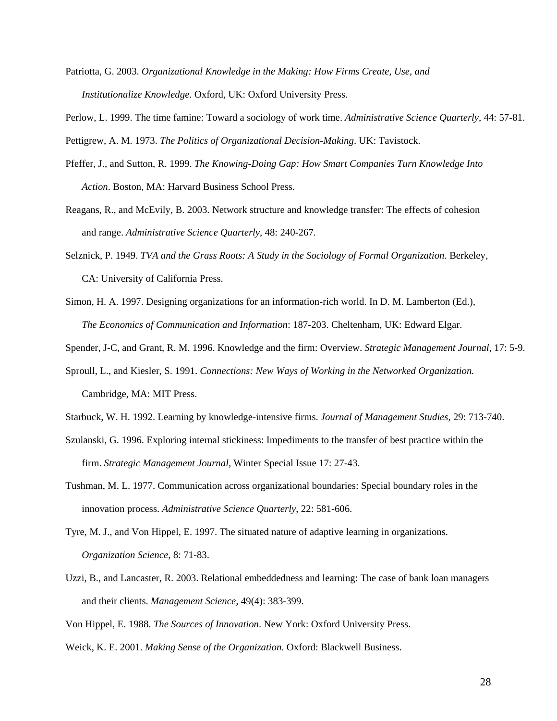Patriotta, G. 2003. *Organizational Knowledge in the Making: How Firms Create, Use, and Institutionalize Knowledge*. Oxford, UK: Oxford University Press.

Perlow, L. 1999. The time famine: Toward a sociology of work time. *Administrative Science Quarterly*, 44: 57-81. Pettigrew, A. M. 1973. *The Politics of Organizational Decision-Making*. UK: Tavistock.

- Pfeffer, J., and Sutton, R. 1999. *The Knowing-Doing Gap: How Smart Companies Turn Knowledge Into Action*. Boston, MA: Harvard Business School Press.
- Reagans, R., and McEvily, B. 2003. Network structure and knowledge transfer: The effects of cohesion and range. *Administrative Science Quarterly,* 48: 240-267*.*
- Selznick, P. 1949. *TVA and the Grass Roots: A Study in the Sociology of Formal Organization*. Berkeley, CA: University of California Press.
- Simon, H. A. 1997. Designing organizations for an information-rich world. In D. M. Lamberton (Ed.), *The Economics of Communication and Information*: 187-203. Cheltenham, UK: Edward Elgar.

Spender, J-C, and Grant, R. M. 1996. Knowledge and the firm: Overview. *Strategic Management Journal,* 17: 5-9.

- Sproull, L., and Kiesler, S. 1991. *Connections: New Ways of Working in the Networked Organization.* Cambridge, MA: MIT Press.
- Starbuck, W. H. 1992. Learning by knowledge-intensive firms. *Journal of Management Studies*, 29: 713-740.
- Szulanski, G. 1996. Exploring internal stickiness: Impediments to the transfer of best practice within the firm. *Strategic Management Journal,* Winter Special Issue 17: 27-43.
- Tushman, M. L. 1977. Communication across organizational boundaries: Special boundary roles in the innovation process. *Administrative Science Quarterly*, 22: 581-606.
- Tyre, M. J., and Von Hippel, E. 1997. The situated nature of adaptive learning in organizations. *Organization Science,* 8: 71-83.
- Uzzi, B., and Lancaster, R. 2003. Relational embeddedness and learning: The case of bank loan managers and their clients. *Management Science,* 49(4): 383-399.

Von Hippel, E. 1988. *The Sources of Innovation*. New York: Oxford University Press.

Weick, K. E. 2001. *Making Sense of the Organization*. Oxford: Blackwell Business.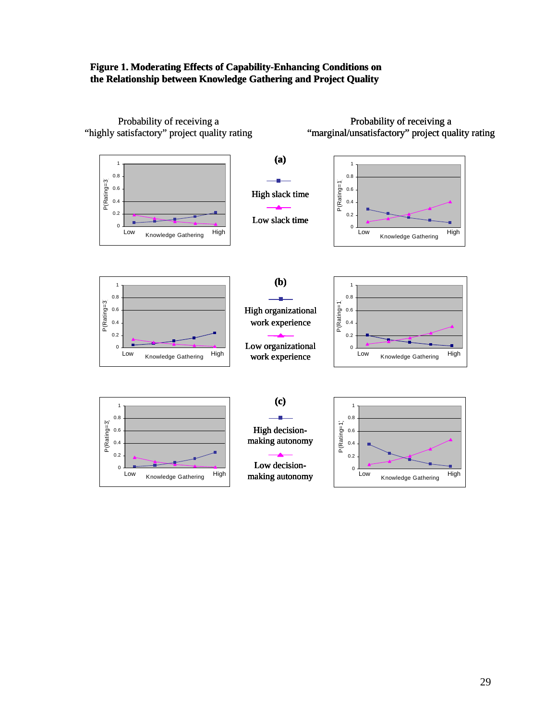### **Figure 1. Moderating Effects of Capability-Enhancing Conditions on the Relationship between Knowledge Gathering and Project Quality**

Probability of receiving a



Probability of receiving a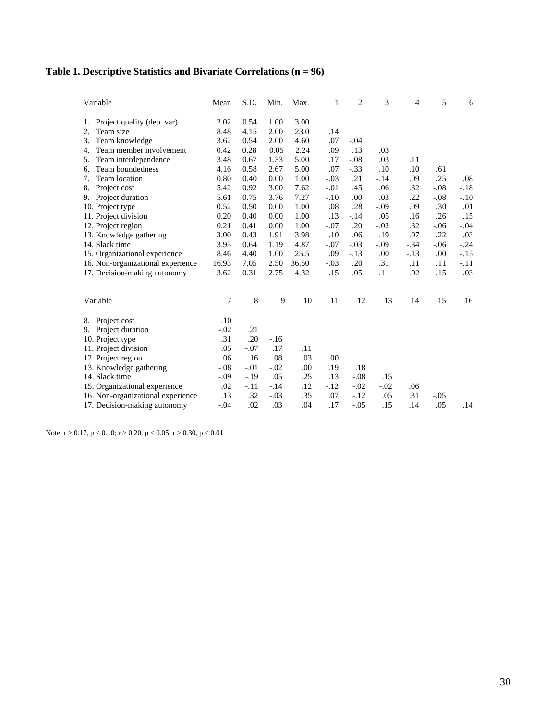# **Table 1. Descriptive Statistics and Bivariate Correlations (n = 96)**

| Variable                          | Mean   | S.D.   | Min.   | Max.  | 1      | 2      | 3      | $\overline{4}$ | 5      | 6      |
|-----------------------------------|--------|--------|--------|-------|--------|--------|--------|----------------|--------|--------|
|                                   |        |        |        |       |        |        |        |                |        |        |
| Project quality (dep. var)        | 2.02   | 0.54   | 1.00   | 3.00  |        |        |        |                |        |        |
| Team size<br>2.                   | 8.48   | 4.15   | 2.00   | 23.0  | .14    |        |        |                |        |        |
| Team knowledge<br>3.              | 3.62   | 0.54   | 2.00   | 4.60  | .07    | $-.04$ |        |                |        |        |
| Team member involvement<br>4.     | 0.42   | 0.28   | 0.05   | 2.24  | .09    | .13    | .03    |                |        |        |
| Team interdependence<br>5.        | 3.48   | 0.67   | 1.33   | 5.00  | .17    | $-.08$ | .03    | .11            |        |        |
| Team boundedness<br>6.            | 4.16   | 0.58   | 2.67   | 5.00  | .07    | $-.33$ | .10    | .10            | .61    |        |
| Team location<br>7.               | 0.80   | 0.40   | 0.00   | 1.00  | $-.03$ | .21    | $-.14$ | .09            | .25    | .08    |
| Project cost<br>8.                | 5.42   | 0.92   | 3.00   | 7.62  | $-.01$ | .45    | .06    | .32            | $-.08$ | $-.18$ |
| Project duration<br>9.            | 5.61   | 0.75   | 3.76   | 7.27  | $-.10$ | .00    | .03    | .22            | $-.08$ | $-.10$ |
| 10. Project type                  | 0.52   | 0.50   | 0.00   | 1.00  | .08    | .28    | $-.09$ | .09            | .30    | .01    |
| 11. Project division              | 0.20   | 0.40   | 0.00   | 1.00  | .13    | $-.14$ | .05    | .16            | .26    | .15    |
| 12. Project region                | 0.21   | 0.41   | 0.00   | 1.00  | $-.07$ | .20    | $-.02$ | .32            | $-.06$ | $-.04$ |
| 13. Knowledge gathering           | 3.00   | 0.43   | 1.91   | 3.98  | .10    | .06    | .19    | .07            | .22    | .03    |
| 14. Slack time                    | 3.95   | 0.64   | 1.19   | 4.87  | $-.07$ | $-.03$ | $-.09$ | $-.34$         | $-.06$ | $-.24$ |
| 15. Organizational experience     | 8.46   | 4.40   | 1.00   | 25.5  | .09    | $-.13$ | .00    | $-.13$         | .00    | $-.15$ |
| 16. Non-organizational experience | 16.93  | 7.05   | 2.50   | 36.50 | $-.03$ | .20    | .31    | .11            | .11    | $-.11$ |
| 17. Decision-making autonomy      | 3.62   | 0.31   | 2.75   | 4.32  | .15    | .05    | .11    | .02            | .15    | .03    |
|                                   |        |        |        |       |        |        |        |                |        |        |
| Variable                          | 7      | 8      | 9      | 10    | 11     | 12     | 13     | 14             | 15     | 16     |
|                                   |        |        |        |       |        |        |        |                |        |        |
| Project cost<br>8.                | .10    |        |        |       |        |        |        |                |        |        |
| Project duration<br>9.            | $-.02$ | .21    |        |       |        |        |        |                |        |        |
| 10. Project type                  | .31    | .20    | $-.16$ |       |        |        |        |                |        |        |
| 11. Project division              | .05    | $-.07$ | .17    | .11   |        |        |        |                |        |        |
| 12. Project region                | .06    | .16    | .08    | .03   | .00    |        |        |                |        |        |
| 13. Knowledge gathering           | $-.08$ | $-.01$ | $-.02$ | .00   | .19    | .18    |        |                |        |        |
| 14. Slack time                    | $-.09$ | $-.19$ | .05    | .25   | .13    | $-.08$ | .15    |                |        |        |
| 15. Organizational experience     | .02    | $-.11$ | $-.14$ | .12   | $-.12$ | $-.02$ | $-.02$ | .06            |        |        |
| 16. Non-organizational experience | .13    | .32    | $-.03$ | .35   | .07    | $-.12$ | .05    | .31            | $-.05$ |        |
| 17. Decision-making autonomy      | $-.04$ | .02    | .03    | .04   | .17    | $-.05$ | .15    | .14            | .05    | .14    |

Note:  $r > 0.17$ ,  $p < 0.10$ ;  $r > 0.20$ ,  $p < 0.05$ ;  $r > 0.30$ ,  $p < 0.01$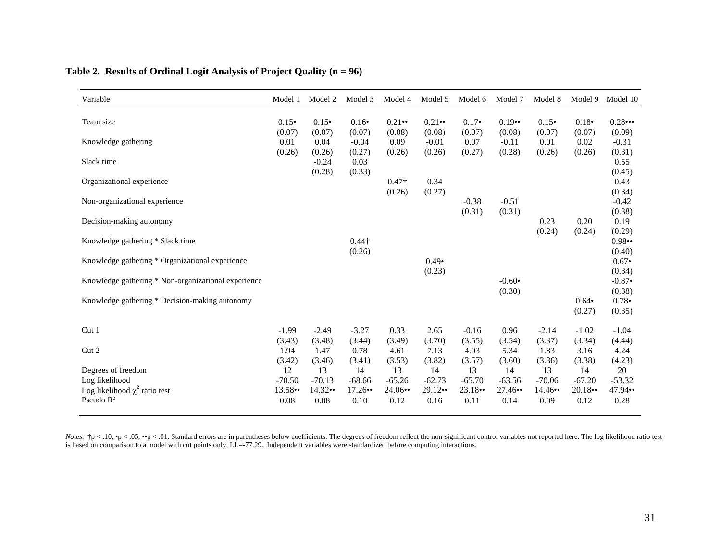| Variable                                            | Model 1          | Model 2           | Model 3           | Model 4        | Model 5           | Model 6        | Model 7           | Model 8        | Model 9        | Model 10                     |
|-----------------------------------------------------|------------------|-------------------|-------------------|----------------|-------------------|----------------|-------------------|----------------|----------------|------------------------------|
| Team size                                           | 0.15             | 0.15              | 0.16              | $0.21 -$       | $0.21 -$          | $0.17 \cdot$   | 0.19              | 0.15           | 0.18           | 0.28                         |
| Knowledge gathering                                 | (0.07)<br>0.01   | (0.07)<br>0.04    | (0.07)<br>$-0.04$ | (0.08)<br>0.09 | (0.08)<br>$-0.01$ | (0.07)<br>0.07 | (0.08)<br>$-0.11$ | (0.07)<br>0.01 | (0.07)<br>0.02 | (0.09)<br>$-0.31$            |
| Slack time                                          | (0.26)           | (0.26)<br>$-0.24$ | (0.27)<br>0.03    | (0.26)         | (0.26)            | (0.27)         | (0.28)            | (0.26)         | (0.26)         | (0.31)<br>0.55               |
| Organizational experience                           |                  | (0.28)            | (0.33)            | $0.47\dagger$  | 0.34              |                |                   |                |                | (0.45)<br>0.43               |
| Non-organizational experience                       |                  |                   |                   | (0.26)         | (0.27)            | $-0.38$        | $-0.51$           |                |                | (0.34)<br>$-0.42$            |
| Decision-making autonomy                            |                  |                   |                   |                |                   | (0.31)         | (0.31)            | 0.23           | 0.20           | (0.38)<br>0.19               |
| Knowledge gathering * Slack time                    |                  |                   | $0.44\dagger$     |                |                   |                |                   | (0.24)         | (0.24)         | (0.29)<br>$0.98 -$           |
| Knowledge gathering * Organizational experience     |                  |                   | (0.26)            |                | $0.49 \bullet$    |                |                   |                |                | (0.40)<br>$0.67 \cdot$       |
| Knowledge gathering * Non-organizational experience |                  |                   |                   |                | (0.23)            |                | $-0.60$           |                |                | (0.34)<br>$-0.87$            |
| Knowledge gathering * Decision-making autonomy      |                  |                   |                   |                |                   |                | (0.30)            |                | 0.64<br>(0.27) | (0.38)<br>$0.78 -$<br>(0.35) |
| Cut 1                                               | $-1.99$          | $-2.49$           | $-3.27$           | 0.33           | 2.65              | $-0.16$        | 0.96              | $-2.14$        | $-1.02$        | $-1.04$                      |
| Cut 2                                               | (3.43)<br>1.94   | (3.48)<br>1.47    | (3.44)<br>0.78    | (3.49)<br>4.61 | (3.70)<br>7.13    | (3.55)<br>4.03 | (3.54)<br>5.34    | (3.37)<br>1.83 | (3.34)<br>3.16 | (4.44)<br>4.24               |
| Degrees of freedom                                  | (3.42)<br>12     | (3.46)<br>13      | (3.41)<br>14      | (3.53)<br>13   | (3.82)<br>14      | (3.57)<br>13   | (3.60)<br>14      | (3.36)<br>13   | (3.38)<br>14   | (4.23)<br>20                 |
| Log likelihood                                      | $-70.50$         | $-70.13$          | $-68.66$          | $-65.26$       | $-62.73$          | $-65.70$       | $-63.56$          | $-70.06$       | $-67.20$       | $-53.32$                     |
| Log likelihood $\chi^2$ ratio test<br>Pseudo $R^2$  | 13.58 ••<br>0.08 | 14.32<br>0.08     | 17.26<br>0.10     | 24.06<br>0.12  | 29.12<br>0.16     | 23.18<br>0.11  | 27.46<br>0.14     | 14.46<br>0.09  | 20.18<br>0.12  | 47.94<br>0.28                |

## **Table 2. Results of Ordinal Logit Analysis of Project Quality (n = 96)**

*Notes*.  $\uparrow p$  < .10, •p < .05, ••p < .01. Standard errors are in parentheses below coefficients. The degrees of freedom reflect the non-significant control variables not reported here. The log likelihood ratio test is based on comparison to a model with cut points only, LL=-77.29. Independent variables were standardized before computing interactions.